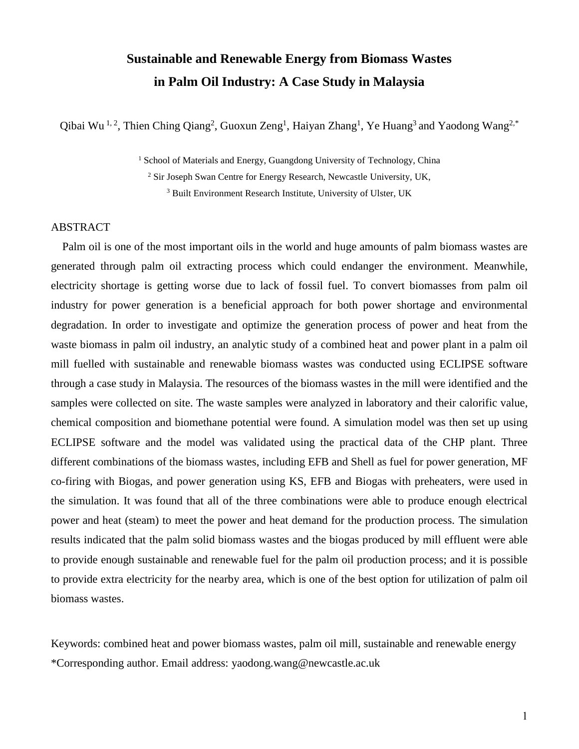# **Sustainable and Renewable Energy from Biomass Wastes in Palm Oil Industry: A Case Study in Malaysia**

Qibai Wu<sup>1,2</sup>, Thien Ching Qiang<sup>2</sup>, Guoxun Zeng<sup>1</sup>, Haiyan Zhang<sup>1</sup>, Ye Huang<sup>3</sup> and Yaodong Wang<sup>2,\*</sup>

<sup>1</sup> School of Materials and Energy, Guangdong University of Technology, China

<sup>2</sup> Sir Joseph Swan Centre for Energy Research, Newcastle University, UK,

<sup>3</sup> Built Environment Research Institute, University of Ulster, UK

## ABSTRACT

Palm oil is one of the most important oils in the world and huge amounts of palm biomass wastes are generated through palm oil extracting process which could endanger the environment. Meanwhile, electricity shortage is getting worse due to lack of fossil fuel. To convert biomasses from palm oil industry for power generation is a beneficial approach for both power shortage and environmental degradation. In order to investigate and optimize the generation process of power and heat from the waste biomass in palm oil industry, an analytic study of a combined heat and power plant in a palm oil mill fuelled with sustainable and renewable biomass wastes was conducted using ECLIPSE software through a case study in Malaysia. The resources of the biomass wastes in the mill were identified and the samples were collected on site. The waste samples were analyzed in laboratory and their calorific value, chemical composition and biomethane potential were found. A simulation model was then set up using ECLIPSE software and the model was validated using the practical data of the CHP plant. Three different combinations of the biomass wastes, including EFB and Shell as fuel for power generation, MF co-firing with Biogas, and power generation using KS, EFB and Biogas with preheaters, were used in the simulation. It was found that all of the three combinations were able to produce enough electrical power and heat (steam) to meet the power and heat demand for the production process. The simulation results indicated that the palm solid biomass wastes and the biogas produced by mill effluent were able to provide enough sustainable and renewable fuel for the palm oil production process; and it is possible to provide extra electricity for the nearby area, which is one of the best option for utilization of palm oil biomass wastes.

Keywords: combined heat and power biomass wastes, palm oil mill, sustainable and renewable energy \*Corresponding author. Email address: [yaodong.wang@newcastle.ac.uk](mailto:yaodong.wang@newcastle.ac.uk)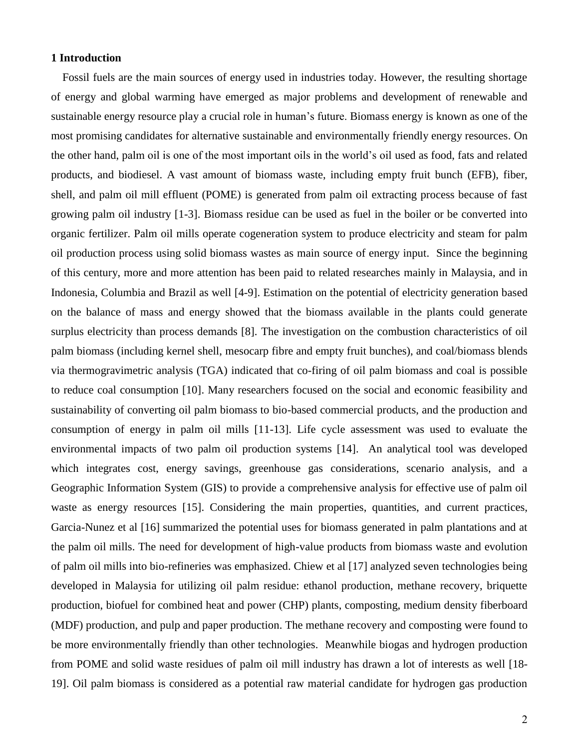## **1 Introduction**

Fossil fuels are the main sources of energy used in industries today. However, the resulting shortage of energy and global warming have emerged as major problems and development of renewable and sustainable energy resource play a crucial role in human's future. Biomass energy is known as one of the most promising candidates for alternative sustainable and environmentally friendly energy resources. On the other hand, palm oil is one of the most important oils in the world's oil used as food, fats and related products, and biodiesel. A vast amount of biomass waste, including empty fruit bunch (EFB), fiber, shell, and palm oil mill effluent (POME) is generated from palm oil extracting process because of fast growing palm oil industry [1-3]. Biomass residue can be used as fuel in the boiler or be converted into organic fertilizer. Palm oil mills operate cogeneration system to produce electricity and steam for palm oil production process using solid biomass wastes as main source of energy input. Since the beginning of this century, more and more attention has been paid to related researches mainly in Malaysia, and in Indonesia, Columbia and Brazil as well [4-9]. Estimation on the potential of electricity generation based on the balance of mass and energy showed that the biomass available in the plants could generate surplus electricity than process demands [8]. The investigation on the combustion characteristics of oil palm biomass (including kernel shell, mesocarp fibre and empty fruit bunches), and coal/biomass blends via thermogravimetric analysis (TGA) indicated that co-firing of oil palm biomass and coal is possible to reduce coal consumption [10]. Many researchers focused on the social and economic feasibility and sustainability of converting oil palm biomass to bio-based commercial products, and the production and consumption of energy in palm oil mills [11-13]. Life cycle assessment was used to evaluate the environmental impacts of two palm oil production systems [14]. An analytical tool was developed which integrates cost, energy savings, greenhouse gas considerations, scenario analysis, and a Geographic Information System (GIS) to provide a comprehensive analysis for effective use of palm oil waste as energy resources [15]. Considering the main properties, quantities, and current practices, Garcia-Nunez et al [16] summarized the potential uses for biomass generated in palm plantations and at the palm oil mills. The need for development of high-value products from biomass waste and evolution of palm oil mills into bio-refineries was emphasized. Chiew et al [17] analyzed seven technologies being developed in Malaysia for utilizing oil palm residue: ethanol production, methane recovery, briquette production, biofuel for combined heat and power (CHP) plants, composting, medium density fiberboard (MDF) production, and pulp and paper production. The methane recovery and composting were found to be more environmentally friendly than other technologies. Meanwhile biogas and hydrogen production from POME and solid waste residues of palm oil mill industry has drawn a lot of interests as well [18- 19]. Oil palm biomass is considered as a potential raw material candidate for hydrogen gas production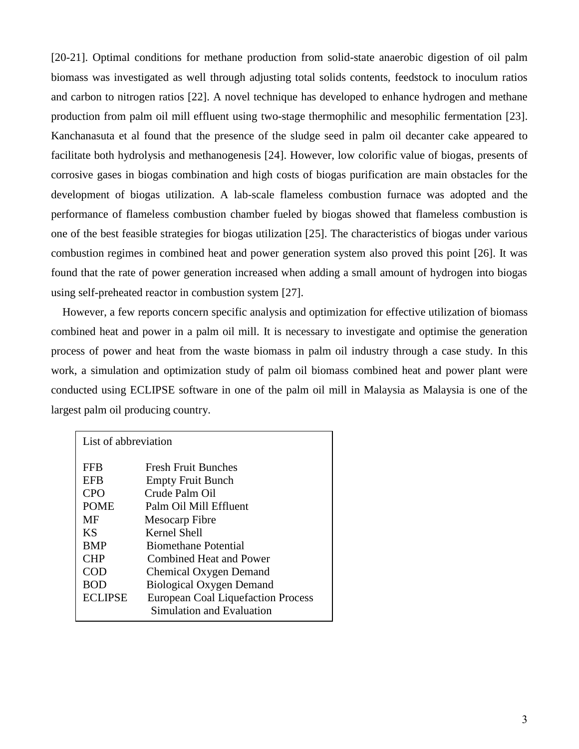[20-21]. Optimal conditions for methane production from solid-state anaerobic digestion of oil palm biomass was investigated as well through adjusting total solids contents, feedstock to inoculum ratios and carbon to nitrogen ratios [22]. A novel technique has developed to enhance hydrogen and methane production from palm oil mill effluent using two-stage thermophilic and mesophilic fermentation [23]. Kanchanasuta et al found that the presence of the sludge seed in palm oil decanter cake appeared to facilitate both hydrolysis and methanogenesis [24]. However, low colorific value of biogas, presents of corrosive gases in biogas combination and high costs of biogas purification are main obstacles for the development of biogas utilization. A lab-scale flameless combustion furnace was adopted and the performance of flameless combustion chamber fueled by biogas showed that flameless combustion is one of the best feasible strategies for biogas utilization [25]. The characteristics of biogas under various combustion regimes in combined heat and power generation system also proved this point [26]. It was found that the rate of power generation increased when adding a small amount of hydrogen into biogas using self-preheated reactor in combustion system [27].

 However, a few reports concern specific analysis and optimization for effective utilization of biomass combined heat and power in a palm oil mill. It is necessary to investigate and optimise the generation process of power and heat from the waste biomass in palm oil industry through a case study. In this work, a simulation and optimization study of palm oil biomass combined heat and power plant were conducted using ECLIPSE software in one of the palm oil mill in Malaysia as Malaysia is one of the largest palm oil producing country.

| List of abbreviation                       |                                                                                                                                                                       |  |  |  |  |
|--------------------------------------------|-----------------------------------------------------------------------------------------------------------------------------------------------------------------------|--|--|--|--|
| FFB                                        | Fresh Fruit Bunches                                                                                                                                                   |  |  |  |  |
| EFB                                        | <b>Empty Fruit Bunch</b>                                                                                                                                              |  |  |  |  |
| <b>CPO</b>                                 | Crude Palm Oil                                                                                                                                                        |  |  |  |  |
| <b>POME</b>                                | Palm Oil Mill Effluent                                                                                                                                                |  |  |  |  |
| MF                                         | Mesocarp Fibre                                                                                                                                                        |  |  |  |  |
| <b>KS</b>                                  | Kernel Shell                                                                                                                                                          |  |  |  |  |
| <b>BMP</b>                                 | <b>Biomethane Potential</b>                                                                                                                                           |  |  |  |  |
| <b>CHP</b><br>COD<br>BOD<br><b>ECLIPSE</b> | <b>Combined Heat and Power</b><br>Chemical Oxygen Demand<br><b>Biological Oxygen Demand</b><br><b>European Coal Liquefaction Process</b><br>Simulation and Evaluation |  |  |  |  |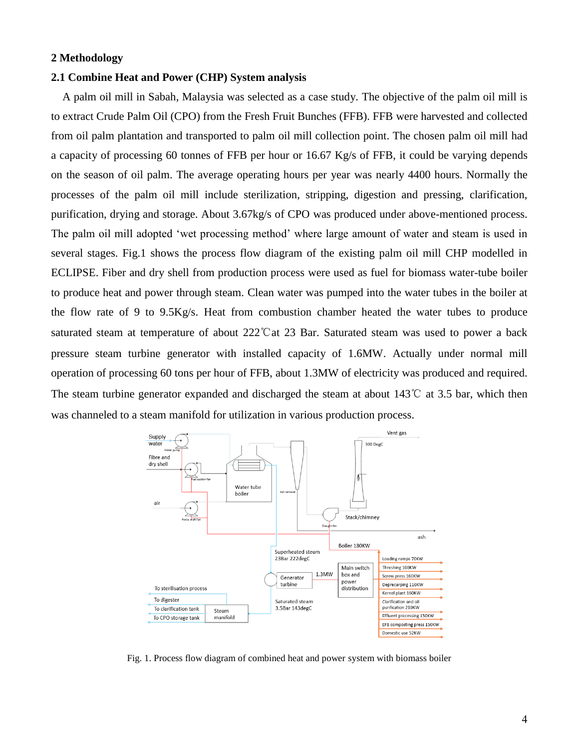# **2 Methodology**

## **2.1 Combine Heat and Power (CHP) System analysis**

A palm oil mill in Sabah, Malaysia was selected as a case study. The objective of the palm oil mill is to extract Crude Palm Oil (CPO) from the Fresh Fruit Bunches (FFB). FFB were harvested and collected from oil palm plantation and transported to palm oil mill collection point. The chosen palm oil mill had a capacity of processing 60 tonnes of FFB per hour or 16.67 Kg/s of FFB, it could be varying depends on the season of oil palm. The average operating hours per year was nearly 4400 hours. Normally the processes of the palm oil mill include sterilization, stripping, digestion and pressing, clarification, purification, drying and storage. About 3.67kg/s of CPO was produced under above-mentioned process. The palm oil mill adopted 'wet processing method' where large amount of water and steam is used in several stages. Fig.1 shows the process flow diagram of the existing palm oil mill CHP modelled in ECLIPSE. Fiber and dry shell from production process were used as fuel for biomass water-tube boiler to produce heat and power through steam. Clean water was pumped into the water tubes in the boiler at the flow rate of 9 to 9.5Kg/s. Heat from combustion chamber heated the water tubes to produce saturated steam at temperature of about 222℃at 23 Bar. Saturated steam was used to power a back pressure steam turbine generator with installed capacity of 1.6MW. Actually under normal mill operation of processing 60 tons per hour of FFB, about 1.3MW of electricity was produced and required. The steam turbine generator expanded and discharged the steam at about 143℃ at 3.5 bar, which then was channeled to a steam manifold for utilization in various production process.



Fig. 1. Process flow diagram of combined heat and power system with biomass boiler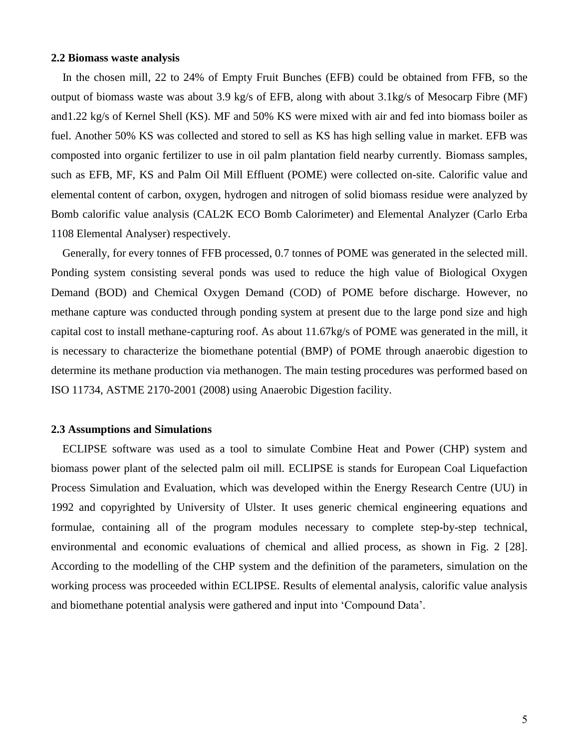#### **2.2 Biomass waste analysis**

 In the chosen mill, 22 to 24% of Empty Fruit Bunches (EFB) could be obtained from FFB, so the output of biomass waste was about 3.9 kg/s of EFB, along with about 3.1kg/s of Mesocarp Fibre (MF) and1.22 kg/s of Kernel Shell (KS). MF and 50% KS were mixed with air and fed into biomass boiler as fuel. Another 50% KS was collected and stored to sell as KS has high selling value in market. EFB was composted into organic fertilizer to use in oil palm plantation field nearby currently. Biomass samples, such as EFB, MF, KS and Palm Oil Mill Effluent (POME) were collected on-site. Calorific value and elemental content of carbon, oxygen, hydrogen and nitrogen of solid biomass residue were analyzed by Bomb calorific value analysis (CAL2K ECO Bomb Calorimeter) and Elemental Analyzer (Carlo Erba 1108 Elemental Analyser) respectively.

 Generally, for every tonnes of FFB processed, 0.7 tonnes of POME was generated in the selected mill. Ponding system consisting several ponds was used to reduce the high value of Biological Oxygen Demand (BOD) and Chemical Oxygen Demand (COD) of POME before discharge. However, no methane capture was conducted through ponding system at present due to the large pond size and high capital cost to install methane-capturing roof. As about 11.67kg/s of POME was generated in the mill, it is necessary to characterize the biomethane potential (BMP) of POME through anaerobic digestion to determine its methane production via methanogen. The main testing procedures was performed based on ISO 11734, ASTME 2170-2001 (2008) using Anaerobic Digestion facility.

## **2.3 Assumptions and Simulations**

ECLIPSE software was used as a tool to simulate Combine Heat and Power (CHP) system and biomass power plant of the selected palm oil mill. ECLIPSE is stands for European Coal Liquefaction Process Simulation and Evaluation, which was developed within the Energy Research Centre (UU) in 1992 and copyrighted by University of Ulster. It uses generic chemical engineering equations and formulae, containing all of the program modules necessary to complete step-by-step technical, environmental and economic evaluations of chemical and allied process, as shown in Fig. 2 [28]. According to the modelling of the CHP system and the definition of the parameters, simulation on the working process was proceeded within ECLIPSE. Results of elemental analysis, calorific value analysis and biomethane potential analysis were gathered and input into 'Compound Data'.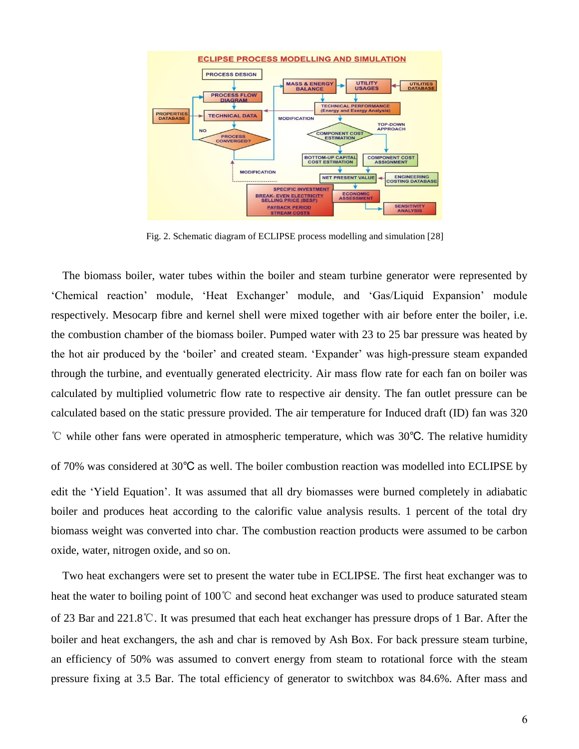

Fig. 2. Schematic diagram of ECLIPSE process modelling and simulation [28]

The biomass boiler, water tubes within the boiler and steam turbine generator were represented by 'Chemical reaction' module, 'Heat Exchanger' module, and 'Gas/Liquid Expansion' module respectively. Mesocarp fibre and kernel shell were mixed together with air before enter the boiler, i.e. the combustion chamber of the biomass boiler. Pumped water with 23 to 25 bar pressure was heated by the hot air produced by the 'boiler' and created steam. 'Expander' was high-pressure steam expanded through the turbine, and eventually generated electricity. Air mass flow rate for each fan on boiler was calculated by multiplied volumetric flow rate to respective air density. The fan outlet pressure can be calculated based on the static pressure provided. The air temperature for Induced draft (ID) fan was 320 ℃ while other fans were operated in atmospheric temperature, which was 30℃. The relative humidity of 70% was considered at 30℃ as well. The boiler combustion reaction was modelled into ECLIPSE by edit the 'Yield Equation'. It was assumed that all dry biomasses were burned completely in adiabatic boiler and produces heat according to the calorific value analysis results. 1 percent of the total dry biomass weight was converted into char. The combustion reaction products were assumed to be carbon oxide, water, nitrogen oxide, and so on.

Two heat exchangers were set to present the water tube in ECLIPSE. The first heat exchanger was to heat the water to boiling point of 100℃ and second heat exchanger was used to produce saturated steam of 23 Bar and 221.8℃. It was presumed that each heat exchanger has pressure drops of 1 Bar. After the boiler and heat exchangers, the ash and char is removed by Ash Box. For back pressure steam turbine, an efficiency of 50% was assumed to convert energy from steam to rotational force with the steam pressure fixing at 3.5 Bar. The total efficiency of generator to switchbox was 84.6%. After mass and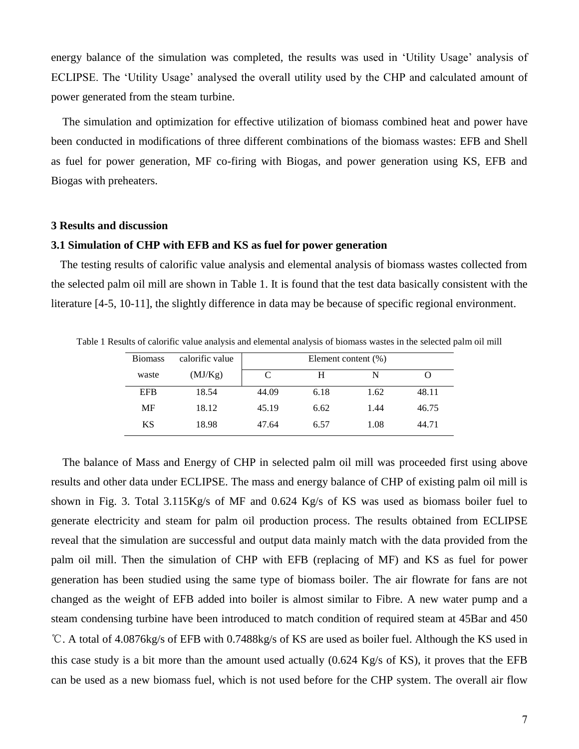energy balance of the simulation was completed, the results was used in 'Utility Usage' analysis of ECLIPSE. The 'Utility Usage' analysed the overall utility used by the CHP and calculated amount of power generated from the steam turbine.

The simulation and optimization for effective utilization of biomass combined heat and power have been conducted in modifications of three different combinations of the biomass wastes: EFB and Shell as fuel for power generation, MF co-firing with Biogas, and power generation using KS, EFB and Biogas with preheaters.

#### **3 Results and discussion**

#### **3.1 Simulation of CHP with EFB and KS as fuel for power generation**

The testing results of calorific value analysis and elemental analysis of biomass wastes collected from the selected palm oil mill are shown in Table 1. It is found that the test data basically consistent with the literature [4-5, 10-11], the slightly difference in data may be because of specific regional environment.

Table 1 Results of calorific value analysis and elemental analysis of biomass wastes in the selected palm oil mill

| <b>Biomass</b> | calorific value | Element content (%) |      |      |       |
|----------------|-----------------|---------------------|------|------|-------|
| waste          | (MJ/Kg)         | C                   | H    | N    |       |
| <b>EFB</b>     | 18.54           | 44.09               | 6.18 | 1.62 | 48.11 |
| MF             | 18.12           | 45.19               | 6.62 | 1.44 | 46.75 |
| KS             | 18.98           | 47.64               | 6.57 | 1.08 | 44.71 |

The balance of Mass and Energy of CHP in selected palm oil mill was proceeded first using above results and other data under ECLIPSE. The mass and energy balance of CHP of existing palm oil mill is shown in Fig. 3. Total 3.115Kg/s of MF and 0.624 Kg/s of KS was used as biomass boiler fuel to generate electricity and steam for palm oil production process. The results obtained from ECLIPSE reveal that the simulation are successful and output data mainly match with the data provided from the palm oil mill. Then the simulation of CHP with EFB (replacing of MF) and KS as fuel for power generation has been studied using the same type of biomass boiler. The air flowrate for fans are not changed as the weight of EFB added into boiler is almost similar to Fibre. A new water pump and a steam condensing turbine have been introduced to match condition of required steam at 45Bar and 450 ℃. A total of 4.0876kg/s of EFB with 0.7488kg/s of KS are used as boiler fuel. Although the KS used in this case study is a bit more than the amount used actually (0.624 Kg/s of KS), it proves that the EFB can be used as a new biomass fuel, which is not used before for the CHP system. The overall air flow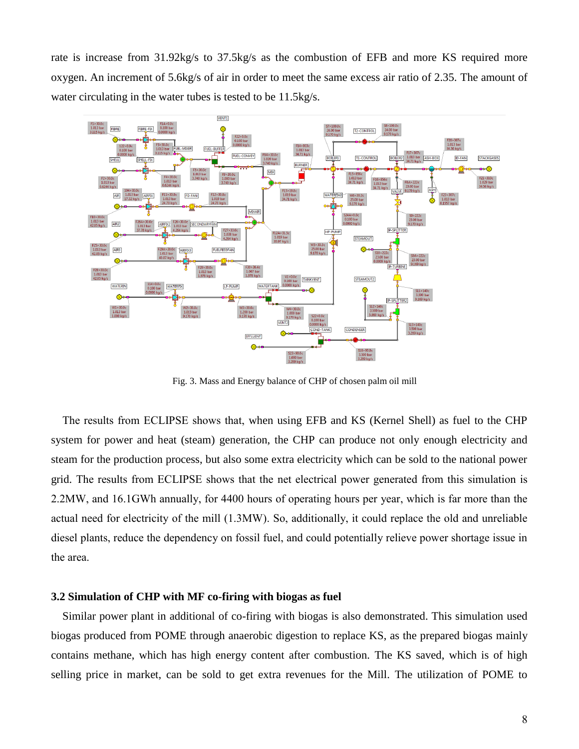rate is increase from 31.92kg/s to 37.5kg/s as the combustion of EFB and more KS required more oxygen. An increment of 5.6kg/s of air in order to meet the same excess air ratio of 2.35. The amount of water circulating in the water tubes is tested to be 11.5kg/s.



Fig. 3. Mass and Energy balance of CHP of chosen palm oil mill

The results from ECLIPSE shows that, when using EFB and KS (Kernel Shell) as fuel to the CHP system for power and heat (steam) generation, the CHP can produce not only enough electricity and steam for the production process, but also some extra electricity which can be sold to the national power grid. The results from ECLIPSE shows that the net electrical power generated from this simulation is 2.2MW, and 16.1GWh annually, for 4400 hours of operating hours per year, which is far more than the actual need for electricity of the mill (1.3MW). So, additionally, it could replace the old and unreliable diesel plants, reduce the dependency on fossil fuel, and could potentially relieve power shortage issue in the area.

#### **3.2 Simulation of CHP with MF co-firing with biogas as fuel**

Similar power plant in additional of co-firing with biogas is also demonstrated. This simulation used biogas produced from POME through anaerobic digestion to replace KS, as the prepared biogas mainly contains methane, which has high energy content after combustion. The KS saved, which is of high selling price in market, can be sold to get extra revenues for the Mill. The utilization of POME to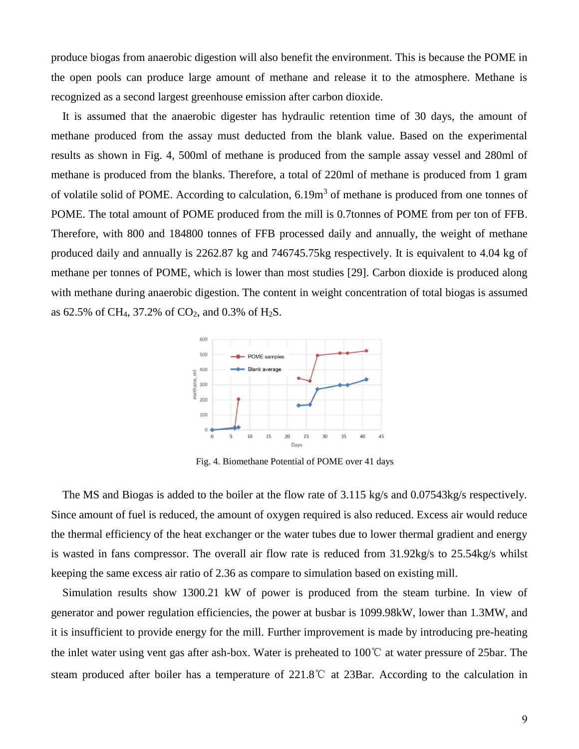produce biogas from anaerobic digestion will also benefit the environment. This is because the POME in the open pools can produce large amount of methane and release it to the atmosphere. Methane is recognized as a second largest greenhouse emission after carbon dioxide.

It is assumed that the anaerobic digester has hydraulic retention time of 30 days, the amount of methane produced from the assay must deducted from the blank value. Based on the experimental results as shown in Fig. 4, 500ml of methane is produced from the sample assay vessel and 280ml of methane is produced from the blanks. Therefore, a total of 220ml of methane is produced from 1 gram of volatile solid of POME. According to calculation, 6.19m<sup>3</sup> of methane is produced from one tonnes of POME. The total amount of POME produced from the mill is 0.7tonnes of POME from per ton of FFB. Therefore, with 800 and 184800 tonnes of FFB processed daily and annually, the weight of methane produced daily and annually is 2262.87 kg and 746745.75kg respectively. It is equivalent to 4.04 kg of methane per tonnes of POME, which is lower than most studies [29]. Carbon dioxide is produced along with methane during anaerobic digestion. The content in weight concentration of total biogas is assumed as 62.5% of CH<sub>4</sub>, 37.2% of CO<sub>2</sub>, and 0.3% of H<sub>2</sub>S.



Fig. 4. Biomethane Potential of POME over 41 days

The MS and Biogas is added to the boiler at the flow rate of 3.115 kg/s and 0.07543kg/s respectively. Since amount of fuel is reduced, the amount of oxygen required is also reduced. Excess air would reduce the thermal efficiency of the heat exchanger or the water tubes due to lower thermal gradient and energy is wasted in fans compressor. The overall air flow rate is reduced from 31.92kg/s to 25.54kg/s whilst keeping the same excess air ratio of 2.36 as compare to simulation based on existing mill.

Simulation results show 1300.21 kW of power is produced from the steam turbine. In view of generator and power regulation efficiencies, the power at busbar is 1099.98kW, lower than 1.3MW, and it is insufficient to provide energy for the mill. Further improvement is made by introducing pre-heating the inlet water using vent gas after ash-box. Water is preheated to 100℃ at water pressure of 25bar. The steam produced after boiler has a temperature of 221.8℃ at 23Bar. According to the calculation in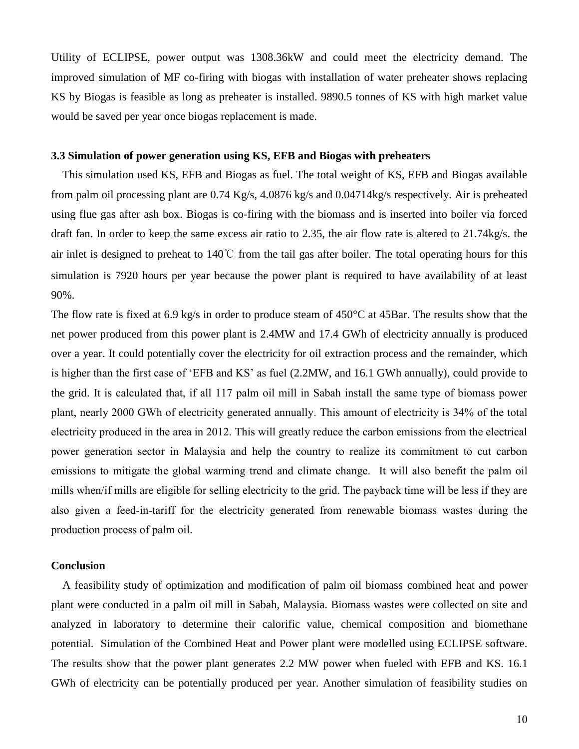Utility of ECLIPSE, power output was 1308.36kW and could meet the electricity demand. The improved simulation of MF co-firing with biogas with installation of water preheater shows replacing KS by Biogas is feasible as long as preheater is installed. 9890.5 tonnes of KS with high market value would be saved per year once biogas replacement is made.

# **3.3 Simulation of power generation using KS, EFB and Biogas with preheaters**

This simulation used KS, EFB and Biogas as fuel. The total weight of KS, EFB and Biogas available from palm oil processing plant are 0.74 Kg/s, 4.0876 kg/s and 0.04714kg/s respectively. Air is preheated using flue gas after ash box. Biogas is co-firing with the biomass and is inserted into boiler via forced draft fan. In order to keep the same excess air ratio to 2.35, the air flow rate is altered to 21.74kg/s. the air inlet is designed to preheat to 140℃ from the tail gas after boiler. The total operating hours for this simulation is 7920 hours per year because the power plant is required to have availability of at least 90%.

The flow rate is fixed at 6.9 kg/s in order to produce steam of 450°C at 45Bar. The results show that the net power produced from this power plant is 2.4MW and 17.4 GWh of electricity annually is produced over a year. It could potentially cover the electricity for oil extraction process and the remainder, which is higher than the first case of 'EFB and KS' as fuel (2.2MW, and 16.1 GWh annually), could provide to the grid. It is calculated that, if all 117 palm oil mill in Sabah install the same type of biomass power plant, nearly 2000 GWh of electricity generated annually. This amount of electricity is 34% of the total electricity produced in the area in 2012. This will greatly reduce the carbon emissions from the electrical power generation sector in Malaysia and help the country to realize its commitment to cut carbon emissions to mitigate the global warming trend and climate change. It will also benefit the palm oil mills when/if mills are eligible for selling electricity to the grid. The payback time will be less if they are also given a feed-in-tariff for the electricity generated from renewable biomass wastes during the production process of palm oil.

## **Conclusion**

A feasibility study of optimization and modification of palm oil biomass combined heat and power plant were conducted in a palm oil mill in Sabah, Malaysia. Biomass wastes were collected on site and analyzed in laboratory to determine their calorific value, chemical composition and biomethane potential. Simulation of the Combined Heat and Power plant were modelled using ECLIPSE software. The results show that the power plant generates 2.2 MW power when fueled with EFB and KS. 16.1 GWh of electricity can be potentially produced per year. Another simulation of feasibility studies on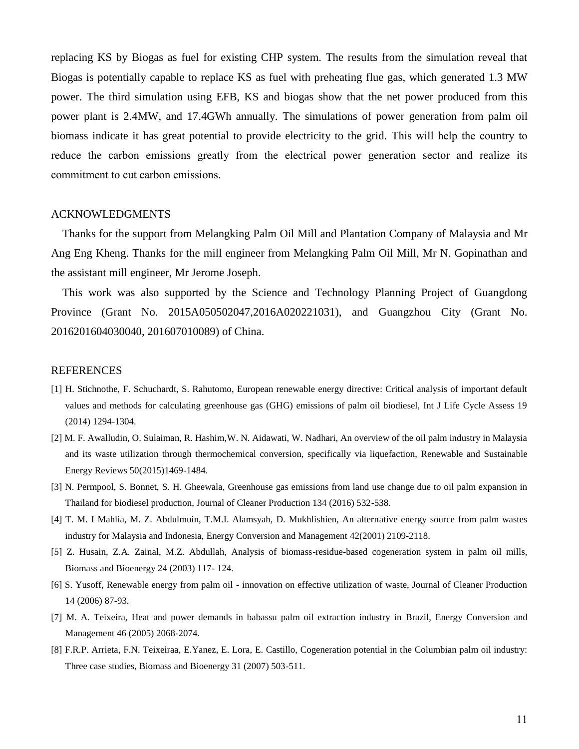replacing KS by Biogas as fuel for existing CHP system. The results from the simulation reveal that Biogas is potentially capable to replace KS as fuel with preheating flue gas, which generated 1.3 MW power. The third simulation using EFB, KS and biogas show that the net power produced from this power plant is 2.4MW, and 17.4GWh annually. The simulations of power generation from palm oil biomass indicate it has great potential to provide electricity to the grid. This will help the country to reduce the carbon emissions greatly from the electrical power generation sector and realize its commitment to cut carbon emissions.

#### ACKNOWLEDGMENTS

Thanks for the support from Melangking Palm Oil Mill and Plantation Company of Malaysia and Mr Ang Eng Kheng. Thanks for the mill engineer from Melangking Palm Oil Mill, Mr N. Gopinathan and the assistant mill engineer, Mr Jerome Joseph.

This work was also supported by the Science and Technology Planning Project of Guangdong Province (Grant No. 2015A050502047,2016A020221031), and Guangzhou City (Grant No. 2016201604030040, 201607010089) of China.

## REFERENCES

- [1] H. Stichnothe, F. Schuchardt, S. Rahutomo, European renewable energy directive: Critical analysis of important default values and methods for calculating greenhouse gas (GHG) emissions of palm oil biodiesel, Int J Life Cycle Assess 19 (2014) 1294-1304.
- [2] M. F. Awalludin, O. Sulaiman, R. Hashim,W. N. Aidawati, W. Nadhari, An overview of the oil palm industry in Malaysia and its waste utilization through thermochemical conversion, specifically via liquefaction, Renewable and Sustainable Energy Reviews 50(2015)1469-1484.
- [3] N. Permpool, S. Bonnet, S. H. Gheewala, Greenhouse gas emissions from land use change due to oil palm expansion in Thailand for biodiesel production, Journal of Cleaner Production 134 (2016) 532-538.
- [4] T. M. I Mahlia, M. Z. Abdulmuin, T.M.I. Alamsyah, D. Mukhlishien, An alternative energy source from palm wastes industry for Malaysia and Indonesia, Energy Conversion and Management 42(2001) 2109-2118.
- [5] Z. Husain, Z.A. Zainal, M.Z. Abdullah, Analysis of biomass-residue-based cogeneration system in palm oil mills, Biomass and Bioenergy 24 (2003) 117- 124.
- [6] S. Yusoff, Renewable energy from palm oil innovation on effective utilization of waste, Journal of Cleaner Production 14 (2006) 87-93.
- [7] M. A. Teixeira, Heat and power demands in babassu palm oil extraction industry in Brazil, Energy Conversion and Management 46 (2005) 2068-2074.
- [8] F.R.P. Arrieta, F.N. Teixeiraa, E.Yanez, E. Lora, E. Castillo, Cogeneration potential in the Columbian palm oil industry: Three case studies, Biomass and Bioenergy 31 (2007) 503-511.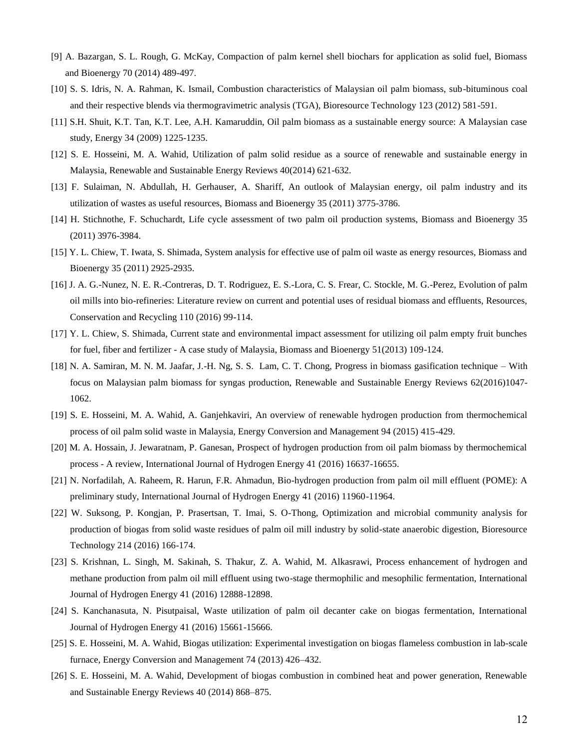- [9] A. Bazargan, S. L. Rough, G. McKay, Compaction of palm kernel shell biochars for application as solid fuel, Biomass and Bioenergy 70 (2014) 489-497.
- [10] S. S. Idris, N. A. Rahman, K. Ismail, Combustion characteristics of Malaysian oil palm biomass, sub-bituminous coal and their respective blends via thermogravimetric analysis (TGA), Bioresource Technology 123 (2012) 581-591.
- [11] S.H. Shuit, K.T. Tan, K.T. Lee, A.H. Kamaruddin, Oil palm biomass as a sustainable energy source: A Malaysian case study, Energy 34 (2009) 1225-1235.
- [12] S. E. Hosseini, M. A. Wahid, Utilization of palm solid residue as a source of renewable and sustainable energy in Malaysia, Renewable and Sustainable Energy Reviews 40(2014) 621-632.
- [13] F. Sulaiman, N. Abdullah, H. Gerhauser, A. Shariff, An outlook of Malaysian energy, oil palm industry and its utilization of wastes as useful resources, Biomass and Bioenergy 35 (2011) 3775-3786.
- [14] H. Stichnothe, F. Schuchardt, Life cycle assessment of two palm oil production systems, Biomass and Bioenergy 35 (2011) 3976-3984.
- [15] Y. L. Chiew, T. Iwata, S. Shimada, System analysis for effective use of palm oil waste as energy resources, Biomass and Bioenergy 35 (2011) 2925-2935.
- [16] J. A. G.-Nunez, N. E. R.-Contreras, D. T. Rodriguez, E. S.-Lora, C. S. Frear, C. Stockle, M. G.-Perez, Evolution of palm oil mills into bio-refineries: Literature review on current and potential uses of residual biomass and effluents, Resources, Conservation and Recycling 110 (2016) 99-114.
- [17] Y. L. Chiew, S. Shimada, Current state and environmental impact assessment for utilizing oil palm empty fruit bunches for fuel, fiber and fertilizer - A case study of Malaysia, Biomass and Bioenergy 51(2013) 109-124.
- [18] N. A. Samiran, M. N. M. Jaafar, J.-H. Ng, S. S. Lam, C. T. Chong, Progress in biomass gasification technique With focus on Malaysian palm biomass for syngas production, Renewable and Sustainable Energy Reviews 62(2016)1047- 1062.
- [19] S. E. Hosseini, M. A. Wahid, A. Ganjehkaviri, An overview of renewable hydrogen production from thermochemical process of oil palm solid waste in Malaysia, Energy Conversion and Management 94 (2015) 415-429.
- [20] M. A. Hossain, J. Jewaratnam, P. Ganesan, Prospect of hydrogen production from oil palm biomass by thermochemical process - A review, International Journal of Hydrogen Energy 41 (2016) 16637-16655.
- [21] N. Norfadilah, A. Raheem, R. Harun, F.R. Ahmadun, Bio-hydrogen production from palm oil mill effluent (POME): A preliminary study, International Journal of Hydrogen Energy 41 (2016) 11960-11964.
- [22] W. Suksong, P. Kongjan, P. Prasertsan, T. Imai, S. O-Thong, Optimization and microbial community analysis for production of biogas from solid waste residues of palm oil mill industry by solid-state anaerobic digestion, Bioresource Technology 214 (2016) 166-174.
- [23] S. Krishnan, L. Singh, M. Sakinah, S. Thakur, Z. A. Wahid, M. Alkasrawi, Process enhancement of hydrogen and methane production from palm oil mill effluent using two-stage thermophilic and mesophilic fermentation, International Journal of Hydrogen Energy 41 (2016) 12888-12898.
- [24] S. Kanchanasuta, N. Pisutpaisal, Waste utilization of palm oil decanter cake on biogas fermentation, International Journal of Hydrogen Energy 41 (2016) 15661-15666.
- [25] S. E. Hosseini, M. A. Wahid, Biogas utilization: Experimental investigation on biogas flameless combustion in lab-scale furnace, Energy Conversion and Management 74 (2013) 426–432.
- [26] S. E. Hosseini, M. A. Wahid, Development of biogas combustion in combined heat and power generation, Renewable and Sustainable Energy Reviews 40 (2014) 868–875.